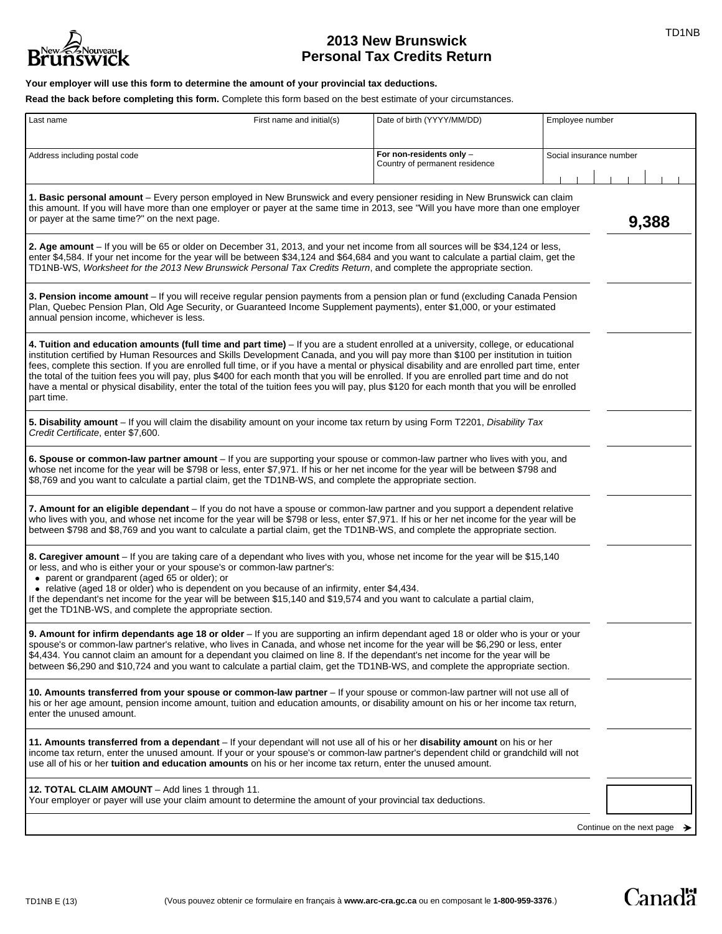

# **2013 New Brunswick 1999 2013 New Brunswick Personal Tax Credits Return**

## **Your employer will use this form to determine the amount of your provincial tax deductions.**

**Read the back before completing this form.** Complete this form based on the best estimate of your circumstances.

| Last name                                                                                                                                                                                                                                                                                                                                                                                                                                                                                                                                                                                                                                                                                                                            | First name and initial(s) | Date of birth (YYYY/MM/DD)                                 | Employee number                         |  |
|--------------------------------------------------------------------------------------------------------------------------------------------------------------------------------------------------------------------------------------------------------------------------------------------------------------------------------------------------------------------------------------------------------------------------------------------------------------------------------------------------------------------------------------------------------------------------------------------------------------------------------------------------------------------------------------------------------------------------------------|---------------------------|------------------------------------------------------------|-----------------------------------------|--|
|                                                                                                                                                                                                                                                                                                                                                                                                                                                                                                                                                                                                                                                                                                                                      |                           |                                                            |                                         |  |
| Address including postal code                                                                                                                                                                                                                                                                                                                                                                                                                                                                                                                                                                                                                                                                                                        |                           | For non-residents only -<br>Country of permanent residence | Social insurance number                 |  |
| 1. Basic personal amount – Every person employed in New Brunswick and every pensioner residing in New Brunswick can claim<br>this amount. If you will have more than one employer or payer at the same time in 2013, see "Will you have more than one employer<br>or payer at the same time?" on the next page.                                                                                                                                                                                                                                                                                                                                                                                                                      |                           |                                                            | 9,388                                   |  |
| 2. Age amount - If you will be 65 or older on December 31, 2013, and your net income from all sources will be \$34,124 or less,<br>enter \$4,584. If your net income for the year will be between \$34,124 and \$64,684 and you want to calculate a partial claim, get the<br>TD1NB-WS, Worksheet for the 2013 New Brunswick Personal Tax Credits Return, and complete the appropriate section.                                                                                                                                                                                                                                                                                                                                      |                           |                                                            |                                         |  |
| 3. Pension income amount - If you will receive regular pension payments from a pension plan or fund (excluding Canada Pension<br>Plan, Quebec Pension Plan, Old Age Security, or Guaranteed Income Supplement payments), enter \$1,000, or your estimated<br>annual pension income, whichever is less.                                                                                                                                                                                                                                                                                                                                                                                                                               |                           |                                                            |                                         |  |
| 4. Tuition and education amounts (full time and part time) - If you are a student enrolled at a university, college, or educational<br>institution certified by Human Resources and Skills Development Canada, and you will pay more than \$100 per institution in tuition<br>fees, complete this section. If you are enrolled full time, or if you have a mental or physical disability and are enrolled part time, enter<br>the total of the tuition fees you will pay, plus \$400 for each month that you will be enrolled. If you are enrolled part time and do not<br>have a mental or physical disability, enter the total of the tuition fees you will pay, plus \$120 for each month that you will be enrolled<br>part time. |                           |                                                            |                                         |  |
| 5. Disability amount - If you will claim the disability amount on your income tax return by using Form T2201, Disability Tax<br>Credit Certificate, enter \$7,600.                                                                                                                                                                                                                                                                                                                                                                                                                                                                                                                                                                   |                           |                                                            |                                         |  |
| 6. Spouse or common-law partner amount – If you are supporting your spouse or common-law partner who lives with you, and<br>whose net income for the year will be \$798 or less, enter \$7,971. If his or her net income for the year will be between \$798 and<br>\$8,769 and you want to calculate a partial claim, get the TD1NB-WS, and complete the appropriate section.                                                                                                                                                                                                                                                                                                                                                        |                           |                                                            |                                         |  |
| 7. Amount for an eligible dependant – If you do not have a spouse or common-law partner and you support a dependent relative<br>who lives with you, and whose net income for the year will be \$798 or less, enter \$7,971. If his or her net income for the year will be<br>between \$798 and \$8,769 and you want to calculate a partial claim, get the TD1NB-WS, and complete the appropriate section.                                                                                                                                                                                                                                                                                                                            |                           |                                                            |                                         |  |
| 8. Caregiver amount - If you are taking care of a dependant who lives with you, whose net income for the year will be \$15,140<br>or less, and who is either your or your spouse's or common-law partner's:<br>• parent or grandparent (aged 65 or older); or<br>• relative (aged 18 or older) who is dependent on you because of an infirmity, enter \$4,434.<br>If the dependant's net income for the year will be between \$15,140 and \$19,574 and you want to calculate a partial claim,<br>get the TD1NB-WS, and complete the appropriate section.                                                                                                                                                                             |                           |                                                            |                                         |  |
| 9. Amount for infirm dependants age 18 or older - If you are supporting an infirm dependant aged 18 or older who is your or your<br>spouse's or common-law partner's relative, who lives in Canada, and whose net income for the year will be \$6,290 or less, enter<br>\$4,434. You cannot claim an amount for a dependant you claimed on line 8. If the dependant's net income for the year will be<br>between \$6,290 and \$10,724 and you want to calculate a partial claim, get the TD1NB-WS, and complete the appropriate section.                                                                                                                                                                                             |                           |                                                            |                                         |  |
| 10. Amounts transferred from your spouse or common-law partner – If your spouse or common-law partner will not use all of<br>his or her age amount, pension income amount, tuition and education amounts, or disability amount on his or her income tax return,<br>enter the unused amount.                                                                                                                                                                                                                                                                                                                                                                                                                                          |                           |                                                            |                                         |  |
| 11. Amounts transferred from a dependant – If your dependant will not use all of his or her disability amount on his or her<br>income tax return, enter the unused amount. If your or your spouse's or common-law partner's dependent child or grandchild will not<br>use all of his or her tuition and education amounts on his or her income tax return, enter the unused amount.                                                                                                                                                                                                                                                                                                                                                  |                           |                                                            |                                         |  |
| 12. TOTAL CLAIM AMOUNT - Add lines 1 through 11.<br>Your employer or payer will use your claim amount to determine the amount of your provincial tax deductions.                                                                                                                                                                                                                                                                                                                                                                                                                                                                                                                                                                     |                           |                                                            |                                         |  |
|                                                                                                                                                                                                                                                                                                                                                                                                                                                                                                                                                                                                                                                                                                                                      |                           |                                                            | Continue on the next page $\rightarrow$ |  |

**Canadä**